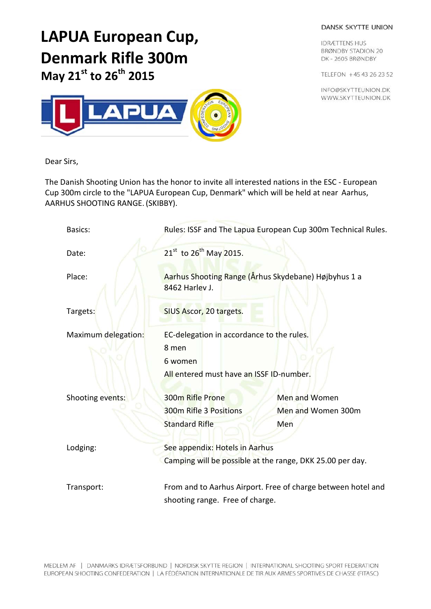## DANSK SKYTTE UNION

**IDRÆTTENS HUS BRØNDBY STADION 20** DK-2605 BRØNDBY

TELEFON +45 43 26 23 52

INFO@SKYTTEUNION.DK WWW.SKYTTEUNION.DK





Dear Sirs,

The Danish Shooting Union has the honor to invite all interested nations in the ESC - European Cup 300m circle to the "LAPUA European Cup, Denmark" which will be held at near Aarhus, AARHUS SHOOTING RANGE. (SKIBBY).

| Basics:                                    | Rules: ISSF and The Lapua European Cup 300m Technical Rules.                                              |                      |  |
|--------------------------------------------|-----------------------------------------------------------------------------------------------------------|----------------------|--|
| Date:                                      | 21 <sup>st</sup> to 26 <sup>th</sup> May 2015.                                                            |                      |  |
| Place:                                     | Aarhus Shooting Range (Århus Skydebane) Højbyhus 1 a<br>8462 Harley J.                                    |                      |  |
| Targets:                                   | SIUS Ascor, 20 targets.                                                                                   |                      |  |
| Maximum delegation:                        | EC-delegation in accordance to the rules.<br>8 men<br>6 women<br>All entered must have an ISSF ID-number. |                      |  |
|                                            |                                                                                                           |                      |  |
| Shooting events:                           | 300m Rifle Prone                                                                                          | <b>Men and Women</b> |  |
|                                            | 300m Rifle 3 Positions                                                                                    | Men and Women 300m   |  |
|                                            | <b>Standard Rifle</b>                                                                                     | Men                  |  |
| Lodging:<br>See appendix: Hotels in Aarhus |                                                                                                           |                      |  |
|                                            | Camping will be possible at the range, DKK 25.00 per day.                                                 |                      |  |
| Transport:                                 | From and to Aarhus Airport. Free of charge between hotel and                                              |                      |  |
|                                            | shooting range. Free of charge.                                                                           |                      |  |